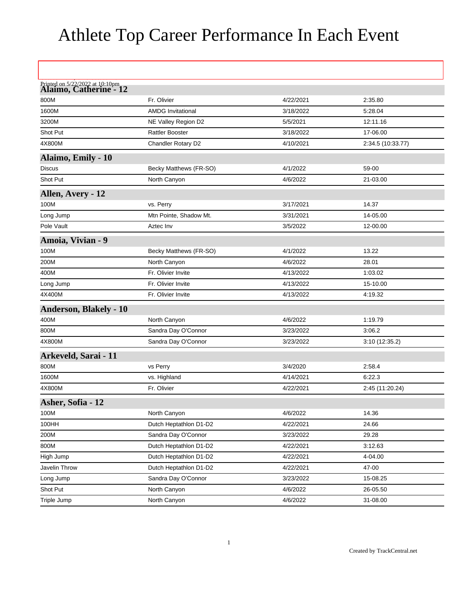## Athlete Top Career Performance In Each Event

| Printed on 5/22/2022 at 10:10pm<br><b>Alaimo, Catherine - 12</b> |                          |           |                   |
|------------------------------------------------------------------|--------------------------|-----------|-------------------|
| 800M                                                             | Fr. Olivier              | 4/22/2021 | 2:35.80           |
| 1600M                                                            | <b>AMDG Invitational</b> | 3/18/2022 | 5:28.04           |
| 3200M                                                            | NE Valley Region D2      | 5/5/2021  | 12:11.16          |
| Shot Put                                                         | <b>Rattler Booster</b>   | 3/18/2022 | 17-06.00          |
| 4X800M                                                           | Chandler Rotary D2       | 4/10/2021 | 2:34.5 (10:33.77) |
| Alaimo, Emily - 10                                               |                          |           |                   |
| Discus                                                           | Becky Matthews (FR-SO)   | 4/1/2022  | 59-00             |
| Shot Put                                                         | North Canyon             | 4/6/2022  | 21-03.00          |
| Allen, Avery - 12                                                |                          |           |                   |
| 100M                                                             | vs. Perry                | 3/17/2021 | 14.37             |
| Long Jump                                                        | Mtn Pointe, Shadow Mt.   | 3/31/2021 | 14-05.00          |
| Pole Vault                                                       | Aztec Inv                | 3/5/2022  | 12-00.00          |
| Amoia, Vivian - 9                                                |                          |           |                   |
| 100M                                                             | Becky Matthews (FR-SO)   | 4/1/2022  | 13.22             |
| 200M                                                             | North Canyon             | 4/6/2022  | 28.01             |
| 400M                                                             | Fr. Olivier Invite       | 4/13/2022 | 1:03.02           |
| Long Jump                                                        | Fr. Olivier Invite       | 4/13/2022 | 15-10.00          |
| 4X400M                                                           | Fr. Olivier Invite       | 4/13/2022 | 4:19.32           |
| <b>Anderson, Blakely - 10</b>                                    |                          |           |                   |
| 400M                                                             | North Canyon             | 4/6/2022  | 1:19.79           |
| 800M                                                             | Sandra Day O'Connor      | 3/23/2022 | 3:06.2            |
| 4X800M                                                           | Sandra Day O'Connor      | 3/23/2022 | 3:10(12:35.2)     |
| Arkeveld, Sarai - 11                                             |                          |           |                   |
| 800M                                                             | vs Perry                 | 3/4/2020  | 2:58.4            |
| 1600M                                                            | vs. Highland             | 4/14/2021 | 6:22.3            |
| 4X800M                                                           | Fr. Olivier              | 4/22/2021 | 2:45 (11:20.24)   |
| Asher, Sofia - 12                                                |                          |           |                   |
| 100M                                                             | North Canyon             | 4/6/2022  | 14.36             |
| 100HH                                                            | Dutch Heptathlon D1-D2   | 4/22/2021 | 24.66             |
| 200M                                                             | Sandra Day O'Connor      | 3/23/2022 | 29.28             |
| 800M                                                             | Dutch Heptathlon D1-D2   | 4/22/2021 | 3:12.63           |
| High Jump                                                        | Dutch Heptathlon D1-D2   | 4/22/2021 | 4-04.00           |
| Javelin Throw                                                    | Dutch Heptathlon D1-D2   | 4/22/2021 | 47-00             |
| Long Jump                                                        | Sandra Day O'Connor      | 3/23/2022 | 15-08.25          |
| Shot Put                                                         | North Canyon             | 4/6/2022  | 26-05.50          |
| Triple Jump                                                      | North Canyon             | 4/6/2022  | 31-08.00          |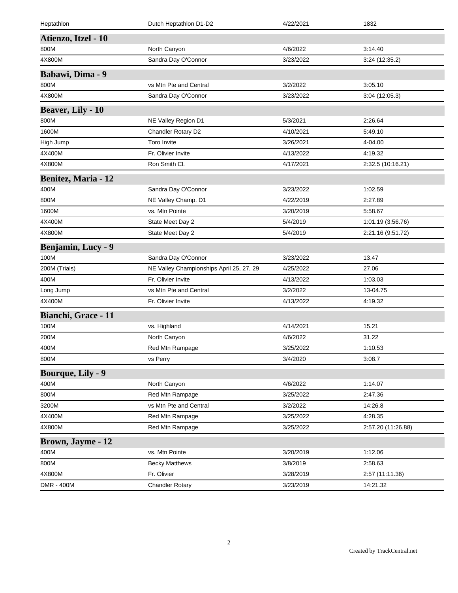| Heptathlon                 | Dutch Heptathlon D1-D2                   | 4/22/2021 | 1832               |
|----------------------------|------------------------------------------|-----------|--------------------|
| Atienzo, Itzel - 10        |                                          |           |                    |
| 800M                       | North Canyon                             | 4/6/2022  | 3:14.40            |
| 4X800M                     | Sandra Day O'Connor                      | 3/23/2022 | 3:24 (12:35.2)     |
| Babawi, Dima - 9           |                                          |           |                    |
| 800M                       | vs Mtn Pte and Central                   | 3/2/2022  | 3:05.10            |
| 4X800M                     | Sandra Day O'Connor                      | 3/23/2022 | 3:04 (12:05.3)     |
| <b>Beaver, Lily - 10</b>   |                                          |           |                    |
| 800M                       | NE Valley Region D1                      | 5/3/2021  | 2:26.64            |
| 1600M                      | Chandler Rotary D2                       | 4/10/2021 | 5:49.10            |
| High Jump                  | Toro Invite                              | 3/26/2021 | 4-04.00            |
| 4X400M                     | Fr. Olivier Invite                       | 4/13/2022 | 4:19.32            |
| 4X800M                     | Ron Smith Cl.                            | 4/17/2021 | 2:32.5 (10:16.21)  |
| <b>Benitez, Maria - 12</b> |                                          |           |                    |
| 400M                       | Sandra Day O'Connor                      | 3/23/2022 | 1:02.59            |
| 800M                       | NE Valley Champ. D1                      | 4/22/2019 | 2:27.89            |
| 1600M                      | vs. Mtn Pointe                           | 3/20/2019 | 5:58.67            |
| 4X400M                     | State Meet Day 2                         | 5/4/2019  | 1:01.19 (3:56.76)  |
| 4X800M                     | State Meet Day 2                         | 5/4/2019  | 2:21.16 (9:51.72)  |
| <b>Benjamin, Lucy - 9</b>  |                                          |           |                    |
| 100M                       | Sandra Day O'Connor                      | 3/23/2022 | 13.47              |
| 200M (Trials)              | NE Valley Championships April 25, 27, 29 | 4/25/2022 | 27.06              |
| 400M                       | Fr. Olivier Invite                       | 4/13/2022 | 1:03.03            |
| Long Jump                  | vs Mtn Pte and Central                   | 3/2/2022  | 13-04.75           |
| 4X400M                     | Fr. Olivier Invite                       | 4/13/2022 | 4:19.32            |
| Bianchi, Grace - 11        |                                          |           |                    |
| 100M                       | vs. Highland                             | 4/14/2021 | 15.21              |
| 200M                       | North Canyon                             | 4/6/2022  | 31.22              |
| 400M                       | Red Mtn Rampage                          | 3/25/2022 | 1:10.53            |
| 800M                       | vs Perry                                 | 3/4/2020  | 3:08.7             |
| <b>Bourque, Lily - 9</b>   |                                          |           |                    |
| 400M                       | North Canyon                             | 4/6/2022  | 1:14.07            |
| 800M                       | Red Mtn Rampage                          | 3/25/2022 | 2:47.36            |
| 3200M                      | vs Mtn Pte and Central                   | 3/2/2022  | 14:26.8            |
| 4X400M                     | Red Mtn Rampage                          | 3/25/2022 | 4:28.35            |
| 4X800M                     | Red Mtn Rampage                          | 3/25/2022 | 2:57.20 (11:26.88) |
| <b>Brown, Jayme - 12</b>   |                                          |           |                    |
| 400M                       | vs. Mtn Pointe                           | 3/20/2019 | 1:12.06            |
| 800M                       | <b>Becky Matthews</b>                    | 3/8/2019  | 2:58.63            |
| 4X800M                     | Fr. Olivier                              | 3/28/2019 | 2:57 (11:11.36)    |
| DMR - 400M                 | <b>Chandler Rotary</b>                   | 3/23/2019 | 14:21.32           |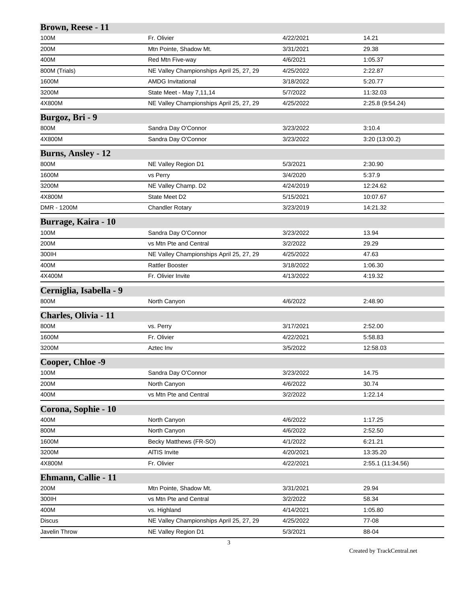| Brown, Reese - 11          |                                          |           |                   |
|----------------------------|------------------------------------------|-----------|-------------------|
| 100M                       | Fr. Olivier                              | 4/22/2021 | 14.21             |
| 200M                       | Mtn Pointe, Shadow Mt.                   | 3/31/2021 | 29.38             |
| 400M                       | Red Mtn Five-way                         | 4/6/2021  | 1:05.37           |
| 800M (Trials)              | NE Valley Championships April 25, 27, 29 | 4/25/2022 | 2:22.87           |
| 1600M                      | <b>AMDG Invitational</b>                 | 3/18/2022 | 5:20.77           |
| 3200M                      | State Meet - May 7,11,14                 | 5/7/2022  | 11:32.03          |
| 4X800M                     | NE Valley Championships April 25, 27, 29 | 4/25/2022 | 2:25.8 (9:54.24)  |
| Burgoz, Bri - 9            |                                          |           |                   |
| 800M                       | Sandra Day O'Connor                      | 3/23/2022 | 3:10.4            |
| 4X800M                     | Sandra Day O'Connor                      | 3/23/2022 | 3:20 (13:00.2)    |
| <b>Burns, Ansley - 12</b>  |                                          |           |                   |
| 800M                       | NE Valley Region D1                      | 5/3/2021  | 2:30.90           |
| 1600M                      | vs Perry                                 | 3/4/2020  | 5.37.9            |
| 3200M                      | NE Valley Champ. D2                      | 4/24/2019 | 12:24.62          |
| 4X800M                     | State Meet D2                            | 5/15/2021 | 10:07.67          |
| DMR - 1200M                | <b>Chandler Rotary</b>                   | 3/23/2019 | 14:21.32          |
| <b>Burrage, Kaira - 10</b> |                                          |           |                   |
| 100M                       | Sandra Day O'Connor                      | 3/23/2022 | 13.94             |
| 200M                       | vs Mtn Pte and Central                   | 3/2/2022  | 29.29             |
| 300IH                      | NE Valley Championships April 25, 27, 29 | 4/25/2022 | 47.63             |
| 400M                       | <b>Rattler Booster</b>                   | 3/18/2022 | 1:06.30           |
| 4X400M                     | Fr. Olivier Invite                       | 4/13/2022 | 4:19.32           |
| Cerniglia, Isabella - 9    |                                          |           |                   |
| 800M                       | North Canyon                             | 4/6/2022  | 2:48.90           |
| Charles, Olivia - 11       |                                          |           |                   |
| 800M                       | vs. Perry                                | 3/17/2021 | 2:52.00           |
| 1600M                      | Fr. Olivier                              | 4/22/2021 | 5:58.83           |
| 3200M                      | Aztec Inv                                | 3/5/2022  | 12:58.03          |
| Cooper, Chloe -9           |                                          |           |                   |
| 100M                       | Sandra Day O'Connor                      | 3/23/2022 | 14.75             |
| 200M                       | North Canyon                             | 4/6/2022  | 30.74             |
| 400M                       | vs Mtn Pte and Central                   | 3/2/2022  | 1:22.14           |
| Corona, Sophie - 10        |                                          |           |                   |
| 400M                       | North Canyon                             | 4/6/2022  | 1:17.25           |
| 800M                       | North Canyon                             | 4/6/2022  | 2:52.50           |
| 1600M                      | Becky Matthews (FR-SO)                   | 4/1/2022  | 6:21.21           |
| 3200M                      | AITIS Invite                             | 4/20/2021 | 13:35.20          |
| 4X800M                     | Fr. Olivier                              | 4/22/2021 | 2:55.1 (11:34.56) |
| Ehmann, Callie - 11        |                                          |           |                   |
| 200M                       | Mtn Pointe, Shadow Mt.                   | 3/31/2021 | 29.94             |
| 300IH                      | vs Mtn Pte and Central                   | 3/2/2022  | 58.34             |
| 400M                       | vs. Highland                             | 4/14/2021 | 1:05.80           |
| <b>Discus</b>              | NE Valley Championships April 25, 27, 29 | 4/25/2022 | 77-08             |
| Javelin Throw              | NE Valley Region D1                      | 5/3/2021  | 88-04             |
|                            |                                          |           |                   |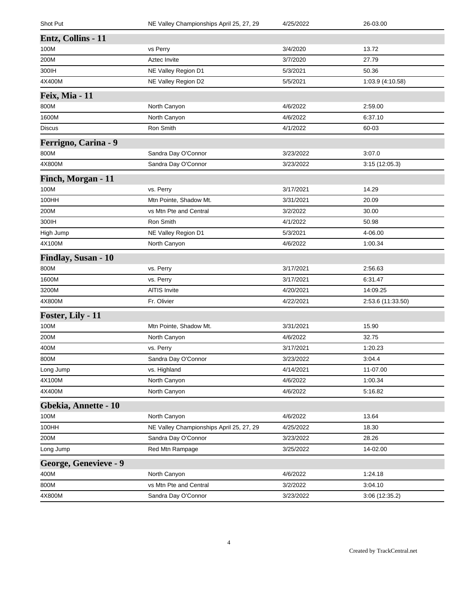| Shot Put              | NE Valley Championships April 25, 27, 29 | 4/25/2022 | 26-03.00          |
|-----------------------|------------------------------------------|-----------|-------------------|
| Entz, Collins - 11    |                                          |           |                   |
| 100M                  | vs Perry                                 | 3/4/2020  | 13.72             |
| 200M                  | Aztec Invite                             | 3/7/2020  | 27.79             |
| 300IH                 | NE Valley Region D1                      | 5/3/2021  | 50.36             |
| 4X400M                | NE Valley Region D2                      | 5/5/2021  | 1:03.9 (4:10.58)  |
| Feix, Mia - 11        |                                          |           |                   |
| 800M                  | North Canyon                             | 4/6/2022  | 2:59.00           |
| 1600M                 | North Canyon                             | 4/6/2022  | 6:37.10           |
| Discus                | Ron Smith                                | 4/1/2022  | 60-03             |
| Ferrigno, Carina - 9  |                                          |           |                   |
| 800M                  | Sandra Day O'Connor                      | 3/23/2022 | 3:07.0            |
| 4X800M                | Sandra Day O'Connor                      | 3/23/2022 | 3:15(12:05.3)     |
| Finch, Morgan - 11    |                                          |           |                   |
| 100M                  | vs. Perry                                | 3/17/2021 | 14.29             |
| 100HH                 | Mtn Pointe, Shadow Mt.                   | 3/31/2021 | 20.09             |
| 200M                  | vs Mtn Pte and Central                   | 3/2/2022  | 30.00             |
| 300IH                 | Ron Smith                                | 4/1/2022  | 50.98             |
| High Jump             | NE Valley Region D1                      | 5/3/2021  | 4-06.00           |
| 4X100M                | North Canyon                             | 4/6/2022  | 1:00.34           |
| Findlay, Susan - 10   |                                          |           |                   |
| 800M                  | vs. Perry                                | 3/17/2021 | 2:56.63           |
| 1600M                 | vs. Perry                                | 3/17/2021 | 6:31.47           |
| 3200M                 | <b>AITIS Invite</b>                      | 4/20/2021 | 14:09.25          |
| 4X800M                | Fr. Olivier                              | 4/22/2021 | 2:53.6 (11:33.50) |
| Foster, Lily - 11     |                                          |           |                   |
| 100M                  | Mtn Pointe, Shadow Mt.                   | 3/31/2021 | 15.90             |
| 200M                  | North Canyon                             | 4/6/2022  | 32.75             |
| 400M                  | vs. Perry                                | 3/17/2021 | 1:20.23           |
| 800M                  | Sandra Day O'Connor                      | 3/23/2022 | 3:04.4            |
| Long Jump             | vs. Highland                             | 4/14/2021 | 11-07.00          |
| 4X100M                | North Canyon                             | 4/6/2022  | 1:00.34           |
| 4X400M                | North Canyon                             | 4/6/2022  | 5:16.82           |
| Gbekia, Annette - 10  |                                          |           |                   |
| 100M                  | North Canyon                             | 4/6/2022  | 13.64             |
| 100HH                 | NE Valley Championships April 25, 27, 29 | 4/25/2022 | 18.30             |
| 200M                  | Sandra Day O'Connor                      | 3/23/2022 | 28.26             |
| Long Jump             | Red Mtn Rampage                          | 3/25/2022 | 14-02.00          |
| George, Genevieve - 9 |                                          |           |                   |
| 400M                  | North Canyon                             | 4/6/2022  | 1:24.18           |
| 800M                  | vs Mtn Pte and Central                   | 3/2/2022  | 3:04.10           |
| 4X800M                | Sandra Day O'Connor                      | 3/23/2022 | 3:06 (12:35.2)    |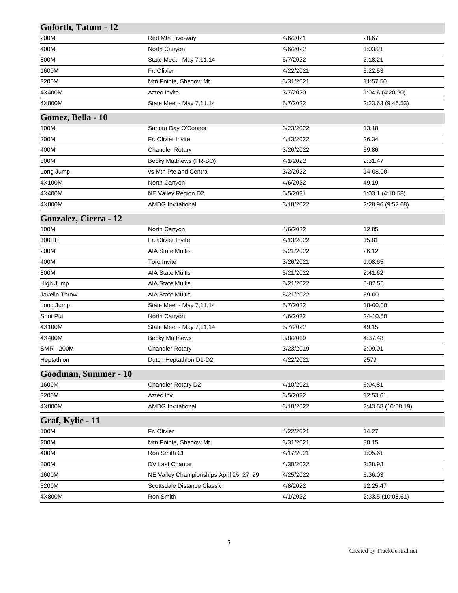| Goforth, Tatum - 12   |                                          |           |                    |
|-----------------------|------------------------------------------|-----------|--------------------|
| 200M                  | Red Mtn Five-way                         | 4/6/2021  | 28.67              |
| 400M                  | North Canyon                             | 4/6/2022  | 1:03.21            |
| 800M                  | State Meet - May 7,11,14                 | 5/7/2022  | 2:18.21            |
| 1600M                 | Fr. Olivier                              | 4/22/2021 | 5:22.53            |
| 3200M                 | Mtn Pointe, Shadow Mt.                   | 3/31/2021 | 11:57.50           |
| 4X400M                | Aztec Invite                             | 3/7/2020  | 1:04.6 (4:20.20)   |
| 4X800M                | State Meet - May 7,11,14                 | 5/7/2022  | 2:23.63 (9:46.53)  |
| Gomez, Bella - 10     |                                          |           |                    |
| 100M                  | Sandra Day O'Connor                      | 3/23/2022 | 13.18              |
| 200M                  | Fr. Olivier Invite                       | 4/13/2022 | 26.34              |
| 400M                  | <b>Chandler Rotary</b>                   | 3/26/2022 | 59.86              |
| 800M                  | Becky Matthews (FR-SO)                   | 4/1/2022  | 2:31.47            |
| Long Jump             | vs Mtn Pte and Central                   | 3/2/2022  | 14-08.00           |
| 4X100M                | North Canyon                             | 4/6/2022  | 49.19              |
| 4X400M                | NE Valley Region D2                      | 5/5/2021  | 1:03.1 (4:10.58)   |
| 4X800M                | <b>AMDG Invitational</b>                 | 3/18/2022 | 2:28.96 (9:52.68)  |
| Gonzalez, Cierra - 12 |                                          |           |                    |
| 100M                  | North Canyon                             | 4/6/2022  | 12.85              |
| 100HH                 | Fr. Olivier Invite                       | 4/13/2022 | 15.81              |
| 200M                  | <b>AIA State Multis</b>                  | 5/21/2022 | 26.12              |
| 400M                  | <b>Toro Invite</b>                       | 3/26/2021 | 1:08.65            |
| 800M                  | <b>AIA State Multis</b>                  | 5/21/2022 | 2:41.62            |
| High Jump             | <b>AIA State Multis</b>                  | 5/21/2022 | 5-02.50            |
| Javelin Throw         | <b>AIA State Multis</b>                  | 5/21/2022 | 59-00              |
| Long Jump             | State Meet - May 7,11,14                 | 5/7/2022  | 18-00.00           |
| Shot Put              | North Canyon                             | 4/6/2022  | 24-10.50           |
| 4X100M                | State Meet - May 7,11,14                 | 5/7/2022  | 49.15              |
| 4X400M                | <b>Becky Matthews</b>                    | 3/8/2019  | 4:37.48            |
| <b>SMR - 200M</b>     | <b>Chandler Rotary</b>                   | 3/23/2019 | 2:09.01            |
| Heptathlon            | Dutch Heptathlon D1-D2                   | 4/22/2021 | 2579               |
| Goodman, Summer - 10  |                                          |           |                    |
| 1600M                 | Chandler Rotary D2                       | 4/10/2021 | 6:04.81            |
| 3200M                 | Aztec Inv                                | 3/5/2022  | 12:53.61           |
| 4X800M                | <b>AMDG Invitational</b>                 | 3/18/2022 | 2:43.58 (10:58.19) |
| Graf, Kylie - 11      |                                          |           |                    |
| 100M                  | Fr. Olivier                              | 4/22/2021 | 14.27              |
| 200M                  | Mtn Pointe, Shadow Mt.                   | 3/31/2021 | 30.15              |
| 400M                  | Ron Smith Cl.                            | 4/17/2021 | 1:05.61            |
| 800M                  | DV Last Chance                           | 4/30/2022 | 2:28.98            |
| 1600M                 | NE Valley Championships April 25, 27, 29 | 4/25/2022 | 5:36.03            |
| 3200M                 | Scottsdale Distance Classic              | 4/8/2022  | 12:25.47           |
| 4X800M                | Ron Smith                                | 4/1/2022  | 2:33.5 (10:08.61)  |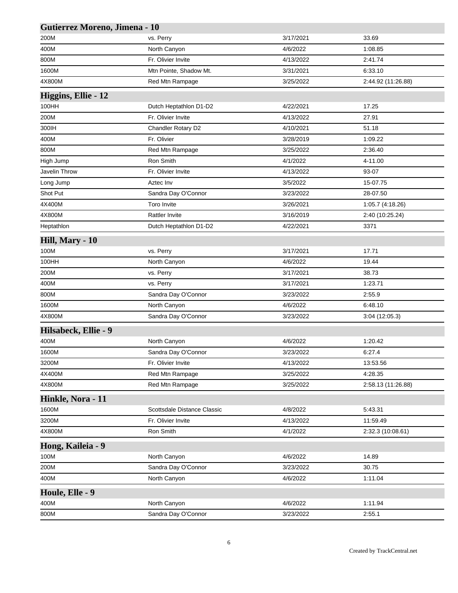| Gutierrez Moreno, Jimena - 10 |                             |           |                    |
|-------------------------------|-----------------------------|-----------|--------------------|
| 200M                          | vs. Perry                   | 3/17/2021 | 33.69              |
| 400M                          | North Canyon                | 4/6/2022  | 1:08.85            |
| 800M                          | Fr. Olivier Invite          | 4/13/2022 | 2:41.74            |
| 1600M                         | Mtn Pointe, Shadow Mt.      | 3/31/2021 | 6:33.10            |
| 4X800M                        | Red Mtn Rampage             | 3/25/2022 | 2:44.92 (11:26.88) |
| Higgins, Ellie - 12           |                             |           |                    |
| 100HH                         | Dutch Heptathlon D1-D2      | 4/22/2021 | 17.25              |
| 200M                          | Fr. Olivier Invite          | 4/13/2022 | 27.91              |
| 300IH                         | Chandler Rotary D2          | 4/10/2021 | 51.18              |
| 400M                          | Fr. Olivier                 | 3/28/2019 | 1:09.22            |
| 800M                          | Red Mtn Rampage             | 3/25/2022 | 2:36.40            |
| High Jump                     | Ron Smith                   | 4/1/2022  | 4-11.00            |
| Javelin Throw                 | Fr. Olivier Invite          | 4/13/2022 | 93-07              |
| Long Jump                     | Aztec Inv                   | 3/5/2022  | 15-07.75           |
| Shot Put                      | Sandra Day O'Connor         | 3/23/2022 | 28-07.50           |
| 4X400M                        | <b>Toro Invite</b>          | 3/26/2021 | 1:05.7 (4:18.26)   |
| 4X800M                        | <b>Rattler Invite</b>       | 3/16/2019 | 2:40 (10:25.24)    |
| Heptathlon                    | Dutch Heptathlon D1-D2      | 4/22/2021 | 3371               |
| Hill, Mary - 10               |                             |           |                    |
| 100M                          | vs. Perry                   | 3/17/2021 | 17.71              |
| 100HH                         | North Canyon                | 4/6/2022  | 19.44              |
| 200M                          | vs. Perry                   | 3/17/2021 | 38.73              |
| 400M                          | vs. Perry                   | 3/17/2021 | 1:23.71            |
| 800M                          | Sandra Day O'Connor         | 3/23/2022 | 2:55.9             |
| 1600M                         | North Canyon                | 4/6/2022  | 6:48.10            |
| 4X800M                        | Sandra Day O'Connor         | 3/23/2022 | 3:04 (12:05.3)     |
| Hilsabeck, Ellie - 9          |                             |           |                    |
| 400M                          | North Canyon                | 4/6/2022  | 1:20.42            |
| 1600M                         | Sandra Day O'Connor         | 3/23/2022 | 6:27.4             |
| 3200M                         | Fr. Olivier Invite          | 4/13/2022 | 13:53.56           |
| 4X400M                        | Red Mtn Rampage             | 3/25/2022 | 4:28.35            |
| 4X800M                        | Red Mtn Rampage             | 3/25/2022 | 2:58.13 (11:26.88) |
| Hinkle, Nora - 11             |                             |           |                    |
| 1600M                         | Scottsdale Distance Classic | 4/8/2022  | 5:43.31            |
| 3200M                         | Fr. Olivier Invite          | 4/13/2022 | 11:59.49           |
| 4X800M                        | Ron Smith                   | 4/1/2022  | 2:32.3 (10:08.61)  |
| Hong, Kaileia - 9             |                             |           |                    |
| 100M                          | North Canyon                | 4/6/2022  | 14.89              |
| 200M                          | Sandra Day O'Connor         | 3/23/2022 | 30.75              |
| 400M                          | North Canyon                | 4/6/2022  | 1:11.04            |
| Houle, Elle - 9               |                             |           |                    |
| 400M                          | North Canyon                | 4/6/2022  | 1:11.94            |
| 800M                          | Sandra Day O'Connor         | 3/23/2022 | 2:55.1             |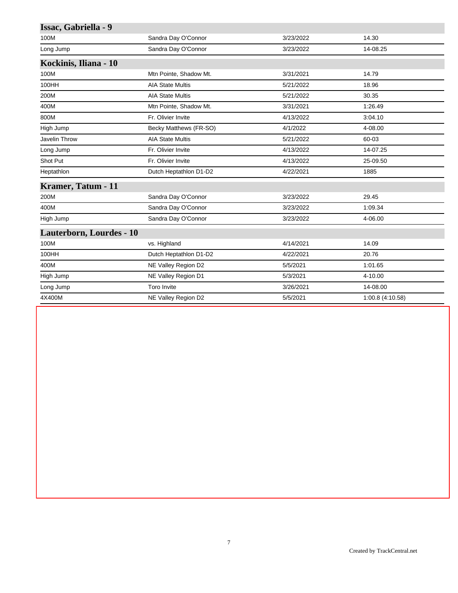| Sandra Day O'Connor     | 3/23/2022 | 14.30           |
|-------------------------|-----------|-----------------|
| Sandra Day O'Connor     | 3/23/2022 | 14-08.25        |
|                         |           |                 |
| Mtn Pointe, Shadow Mt.  | 3/31/2021 | 14.79           |
| <b>AIA State Multis</b> | 5/21/2022 | 18.96           |
| <b>AIA State Multis</b> | 5/21/2022 | 30.35           |
| Mtn Pointe, Shadow Mt.  | 3/31/2021 | 1:26.49         |
| Fr. Olivier Invite      | 4/13/2022 | 3:04.10         |
| Becky Matthews (FR-SO)  | 4/1/2022  | 4-08.00         |
| <b>AIA State Multis</b> | 5/21/2022 | 60-03           |
| Fr. Olivier Invite      | 4/13/2022 | 14-07.25        |
| Fr. Olivier Invite      | 4/13/2022 | 25-09.50        |
| Dutch Heptathlon D1-D2  | 4/22/2021 | 1885            |
|                         |           |                 |
| Sandra Day O'Connor     | 3/23/2022 | 29.45           |
| Sandra Day O'Connor     | 3/23/2022 | 1:09.34         |
| Sandra Day O'Connor     | 3/23/2022 | 4-06.00         |
|                         |           |                 |
| vs. Highland            | 4/14/2021 | 14.09           |
| Dutch Heptathlon D1-D2  | 4/22/2021 | 20.76           |
| NE Valley Region D2     | 5/5/2021  | 1:01.65         |
| NE Valley Region D1     | 5/3/2021  | 4-10.00         |
| <b>Toro Invite</b>      | 3/26/2021 | 14-08.00        |
| NE Valley Region D2     | 5/5/2021  | 1:00.8(4:10.58) |
|                         |           |                 |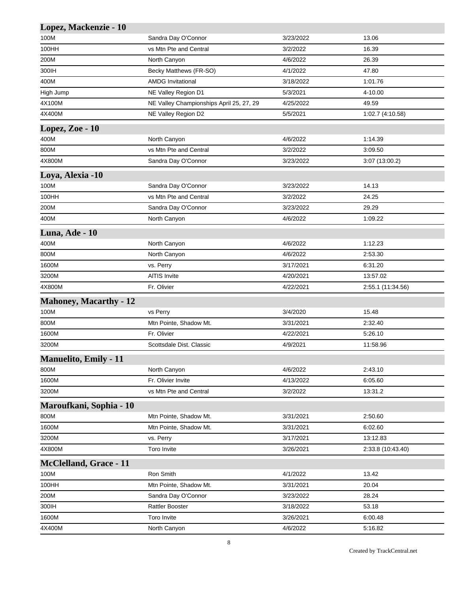| Lopez, Mackenzie - 10         |                                          |           |                   |
|-------------------------------|------------------------------------------|-----------|-------------------|
| 100M                          | Sandra Day O'Connor                      | 3/23/2022 | 13.06             |
| 100HH                         | vs Mtn Pte and Central                   | 3/2/2022  | 16.39             |
| 200M                          | North Canyon                             | 4/6/2022  | 26.39             |
| 300IH                         | Becky Matthews (FR-SO)                   | 4/1/2022  | 47.80             |
| 400M                          | <b>AMDG Invitational</b>                 | 3/18/2022 | 1:01.76           |
| High Jump                     | NE Valley Region D1                      | 5/3/2021  | 4-10.00           |
| 4X100M                        | NE Valley Championships April 25, 27, 29 | 4/25/2022 | 49.59             |
| 4X400M                        | NE Valley Region D2                      | 5/5/2021  | 1:02.7 (4:10.58)  |
| Lopez, Zoe - 10               |                                          |           |                   |
| 400M                          | North Canyon                             | 4/6/2022  | 1:14.39           |
| 800M                          | vs Mtn Pte and Central                   | 3/2/2022  | 3:09.50           |
| 4X800M                        | Sandra Day O'Connor                      | 3/23/2022 | 3:07 (13:00.2)    |
| Loya, Alexia -10              |                                          |           |                   |
| 100M                          | Sandra Day O'Connor                      | 3/23/2022 | 14.13             |
| 100HH                         | vs Mtn Pte and Central                   | 3/2/2022  | 24.25             |
| 200M                          | Sandra Day O'Connor                      | 3/23/2022 | 29.29             |
| 400M                          | North Canyon                             | 4/6/2022  | 1:09.22           |
| Luna, Ade - 10                |                                          |           |                   |
| 400M                          | North Canyon                             | 4/6/2022  | 1:12.23           |
| 800M                          | North Canyon                             | 4/6/2022  | 2:53.30           |
| 1600M                         | vs. Perry                                | 3/17/2021 | 6:31.20           |
| 3200M                         | AITIS Invite                             | 4/20/2021 | 13:57.02          |
| 4X800M                        | Fr. Olivier                              | 4/22/2021 | 2:55.1 (11:34.56) |
| <b>Mahoney, Macarthy - 12</b> |                                          |           |                   |
| 100M                          | vs Perry                                 | 3/4/2020  | 15.48             |
| 800M                          | Mtn Pointe, Shadow Mt.                   | 3/31/2021 | 2:32.40           |
| 1600M                         | Fr. Olivier                              | 4/22/2021 | 5:26.10           |
| 3200M                         | Scottsdale Dist. Classic                 | 4/9/2021  | 11:58.96          |
| <b>Manuelito, Emily - 11</b>  |                                          |           |                   |
| 800M                          | North Canyon                             | 4/6/2022  | 2:43.10           |
| 1600M                         | Fr. Olivier Invite                       | 4/13/2022 | 6:05.60           |
| 3200M                         | vs Mtn Pte and Central                   | 3/2/2022  | 13:31.2           |
| Maroufkani, Sophia - 10       |                                          |           |                   |
| 800M                          | Mtn Pointe, Shadow Mt.                   | 3/31/2021 | 2:50.60           |
| 1600M                         | Mtn Pointe, Shadow Mt.                   | 3/31/2021 | 6:02.60           |
| 3200M                         | vs. Perry                                | 3/17/2021 | 13:12.83          |
| 4X800M                        | Toro Invite                              | 3/26/2021 | 2:33.8 (10:43.40) |
| <b>McClelland, Grace - 11</b> |                                          |           |                   |
| 100M                          | Ron Smith                                | 4/1/2022  | 13.42             |
| 100HH                         | Mtn Pointe, Shadow Mt.                   | 3/31/2021 | 20.04             |
| 200M                          | Sandra Day O'Connor                      | 3/23/2022 | 28.24             |
| 300IH                         | <b>Rattler Booster</b>                   | 3/18/2022 | 53.18             |
| 1600M                         | Toro Invite                              | 3/26/2021 | 6:00.48           |
| 4X400M                        | North Canyon                             | 4/6/2022  | 5:16.82           |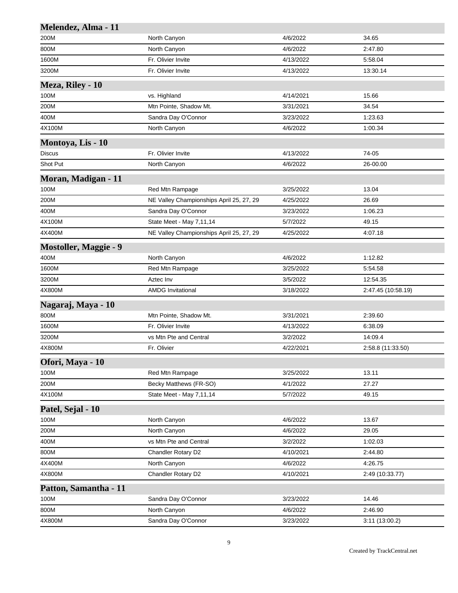| Melendez, Alma - 11          |                                          |           |                    |
|------------------------------|------------------------------------------|-----------|--------------------|
| 200M                         | North Canyon                             | 4/6/2022  | 34.65              |
| 800M                         | North Canyon                             | 4/6/2022  | 2:47.80            |
| 1600M                        | Fr. Olivier Invite                       | 4/13/2022 | 5:58.04            |
| 3200M                        | Fr. Olivier Invite                       | 4/13/2022 | 13:30.14           |
| Meza, Riley - 10             |                                          |           |                    |
| 100M                         | vs. Highland                             | 4/14/2021 | 15.66              |
| 200M                         | Mtn Pointe, Shadow Mt.                   | 3/31/2021 | 34.54              |
| 400M                         | Sandra Day O'Connor                      | 3/23/2022 | 1:23.63            |
| 4X100M                       | North Canyon                             | 4/6/2022  | 1:00.34            |
| Montoya, Lis - 10            |                                          |           |                    |
| Discus                       | Fr. Olivier Invite                       | 4/13/2022 | 74-05              |
| Shot Put                     | North Canyon                             | 4/6/2022  | 26-00.00           |
| Moran, Madigan - 11          |                                          |           |                    |
| 100M                         | Red Mtn Rampage                          | 3/25/2022 | 13.04              |
| 200M                         | NE Valley Championships April 25, 27, 29 | 4/25/2022 | 26.69              |
| 400M                         | Sandra Day O'Connor                      | 3/23/2022 | 1:06.23            |
| 4X100M                       | State Meet - May 7,11,14                 | 5/7/2022  | 49.15              |
| 4X400M                       | NE Valley Championships April 25, 27, 29 | 4/25/2022 | 4:07.18            |
| <b>Mostoller, Maggie - 9</b> |                                          |           |                    |
| 400M                         | North Canyon                             | 4/6/2022  | 1:12.82            |
| 1600M                        | Red Mtn Rampage                          | 3/25/2022 | 5:54.58            |
| 3200M                        | Aztec Inv                                | 3/5/2022  | 12:54.35           |
| 4X800M                       | <b>AMDG Invitational</b>                 | 3/18/2022 | 2:47.45 (10:58.19) |
| Nagaraj, Maya - 10           |                                          |           |                    |
| 800M                         | Mtn Pointe, Shadow Mt.                   | 3/31/2021 | 2:39.60            |
| 1600M                        | Fr. Olivier Invite                       | 4/13/2022 | 6:38.09            |
| 3200M                        | vs Mtn Pte and Central                   | 3/2/2022  | 14:09.4            |
| 4X800M                       | Fr. Olivier                              | 4/22/2021 | 2:58.8 (11:33.50)  |
| Ofori, Maya - 10             |                                          |           |                    |
| 100M                         | Red Mtn Rampage                          | 3/25/2022 | 13.11              |
| 200M                         | Becky Matthews (FR-SO)                   | 4/1/2022  | 27.27              |
| 4X100M                       | State Meet - May 7,11,14                 | 5/7/2022  | 49.15              |
| Patel, Sejal - 10            |                                          |           |                    |
| 100M                         | North Canyon                             | 4/6/2022  | 13.67              |
| 200M                         | North Canyon                             | 4/6/2022  | 29.05              |
| 400M                         | vs Mtn Pte and Central                   | 3/2/2022  | 1:02.03            |
| 800M                         | Chandler Rotary D2                       | 4/10/2021 | 2:44.80            |
| 4X400M                       | North Canyon                             | 4/6/2022  | 4:26.75            |
| 4X800M                       | Chandler Rotary D2                       | 4/10/2021 | 2:49 (10:33.77)    |
| Patton, Samantha - 11        |                                          |           |                    |
| 100M                         | Sandra Day O'Connor                      | 3/23/2022 | 14.46              |
| 800M                         | North Canyon                             | 4/6/2022  | 2:46.90            |
| 4X800M                       | Sandra Day O'Connor                      | 3/23/2022 | 3:11 (13:00.2)     |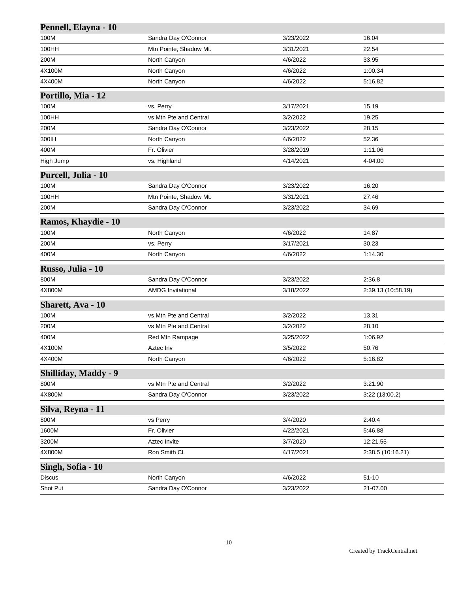| Pennell, Elayna - 10        |                          |           |                    |
|-----------------------------|--------------------------|-----------|--------------------|
| 100M                        | Sandra Day O'Connor      | 3/23/2022 | 16.04              |
| 100HH                       | Mtn Pointe, Shadow Mt.   | 3/31/2021 | 22.54              |
| 200M                        | North Canyon             | 4/6/2022  | 33.95              |
| 4X100M                      | North Canyon             | 4/6/2022  | 1:00.34            |
| 4X400M                      | North Canyon             | 4/6/2022  | 5:16.82            |
| Portillo, Mia - 12          |                          |           |                    |
| 100M                        | vs. Perry                | 3/17/2021 | 15.19              |
| 100HH                       | vs Mtn Pte and Central   | 3/2/2022  | 19.25              |
| 200M                        | Sandra Day O'Connor      | 3/23/2022 | 28.15              |
| 300IH                       | North Canyon             | 4/6/2022  | 52.36              |
| 400M                        | Fr. Olivier              | 3/28/2019 | 1:11.06            |
| High Jump                   | vs. Highland             | 4/14/2021 | 4-04.00            |
| Purcell, Julia - 10         |                          |           |                    |
| 100M                        | Sandra Day O'Connor      | 3/23/2022 | 16.20              |
| 100HH                       | Mtn Pointe, Shadow Mt.   | 3/31/2021 | 27.46              |
| 200M                        | Sandra Day O'Connor      | 3/23/2022 | 34.69              |
| Ramos, Khaydie - 10         |                          |           |                    |
| 100M                        | North Canyon             | 4/6/2022  | 14.87              |
| 200M                        | vs. Perry                | 3/17/2021 | 30.23              |
| 400M                        | North Canyon             | 4/6/2022  | 1:14.30            |
| Russo, Julia - 10           |                          |           |                    |
| 800M                        | Sandra Day O'Connor      | 3/23/2022 | 2:36.8             |
| 4X800M                      | <b>AMDG Invitational</b> | 3/18/2022 | 2:39.13 (10:58.19) |
| <b>Sharett, Ava - 10</b>    |                          |           |                    |
| 100M                        | vs Mtn Pte and Central   | 3/2/2022  | 13.31              |
| 200M                        | vs Mtn Pte and Central   | 3/2/2022  | 28.10              |
| 400M                        | Red Mtn Rampage          | 3/25/2022 | 1:06.92            |
| 4X100M                      | Aztec Inv                | 3/5/2022  | 50.76              |
| 4X400M                      | North Canyon             | 4/6/2022  | 5:16.82            |
| <b>Shilliday, Maddy - 9</b> |                          |           |                    |
| 800M                        | vs Mtn Pte and Central   | 3/2/2022  | 3:21.90            |
| 4X800M                      | Sandra Day O'Connor      | 3/23/2022 | 3:22 (13:00.2)     |
| Silva, Reyna - 11           |                          |           |                    |
| 800M                        | vs Perry                 | 3/4/2020  | 2:40.4             |
| 1600M                       | Fr. Olivier              | 4/22/2021 | 5:46.88            |
| 3200M                       | Aztec Invite             | 3/7/2020  | 12:21.55           |
| 4X800M                      | Ron Smith Cl.            | 4/17/2021 | 2:38.5 (10:16.21)  |
| Singh, Sofia - 10           |                          |           |                    |
| <b>Discus</b>               | North Canyon             | 4/6/2022  | $51 - 10$          |
| Shot Put                    | Sandra Day O'Connor      | 3/23/2022 | 21-07.00           |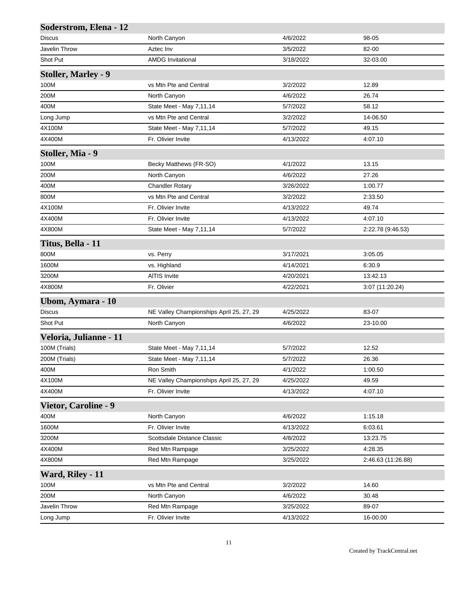| Soderstrom, Elena - 12      |                                          |           |                    |
|-----------------------------|------------------------------------------|-----------|--------------------|
| <b>Discus</b>               | North Canyon                             | 4/6/2022  | 98-05              |
| Javelin Throw               | Aztec Inv                                | 3/5/2022  | 82-00              |
| Shot Put                    | <b>AMDG Invitational</b>                 | 3/18/2022 | 32-03.00           |
| <b>Stoller, Marley - 9</b>  |                                          |           |                    |
| 100M                        | vs Mtn Pte and Central                   | 3/2/2022  | 12.89              |
| 200M                        | North Canyon                             | 4/6/2022  | 26.74              |
| 400M                        | State Meet - May 7,11,14                 | 5/7/2022  | 58.12              |
| Long Jump                   | vs Mtn Pte and Central                   | 3/2/2022  | 14-06.50           |
| 4X100M                      | State Meet - May 7,11,14                 | 5/7/2022  | 49.15              |
| 4X400M                      | Fr. Olivier Invite                       | 4/13/2022 | 4:07.10            |
| Stoller, Mia - 9            |                                          |           |                    |
| 100M                        | Becky Matthews (FR-SO)                   | 4/1/2022  | 13.15              |
| 200M                        | North Canyon                             | 4/6/2022  | 27.26              |
| 400M                        | <b>Chandler Rotary</b>                   | 3/26/2022 | 1:00.77            |
| 800M                        | vs Mtn Pte and Central                   | 3/2/2022  | 2:33.50            |
| 4X100M                      | Fr. Olivier Invite                       | 4/13/2022 | 49.74              |
| 4X400M                      | Fr. Olivier Invite                       | 4/13/2022 | 4:07.10            |
| 4X800M                      | State Meet - May 7,11,14                 | 5/7/2022  | 2:22.78 (9:46.53)  |
| Titus, Bella - 11           |                                          |           |                    |
| 800M                        | vs. Perry                                | 3/17/2021 | 3:05.05            |
| 1600M                       | vs. Highland                             | 4/14/2021 | 6.30.9             |
| 3200M                       | <b>AITIS Invite</b>                      | 4/20/2021 | 13:42.13           |
| 4X800M                      | Fr. Olivier                              | 4/22/2021 | 3:07 (11:20.24)    |
|                             |                                          |           |                    |
| Ubom, Aymara - 10<br>Discus | NE Valley Championships April 25, 27, 29 | 4/25/2022 | 83-07              |
| Shot Put                    | North Canyon                             | 4/6/2022  | 23-10.00           |
|                             |                                          |           |                    |
| Veloria, Julianne - 11      |                                          |           |                    |
| 100M (Trials)               | State Meet - May 7,11,14                 | 5/7/2022  | 12.52              |
| 200M (Trials)               | State Meet - May 7,11,14                 | 5/7/2022  | 26.36              |
| 400M                        | Ron Smith                                | 4/1/2022  | 1:00.50            |
| 4X100M                      | NE Valley Championships April 25, 27, 29 | 4/25/2022 | 49.59              |
| 4X400M                      | Fr. Olivier Invite                       | 4/13/2022 | 4:07.10            |
| <b>Vietor, Caroline - 9</b> |                                          |           |                    |
| 400M                        | North Canyon                             | 4/6/2022  | 1:15.18            |
| 1600M                       | Fr. Olivier Invite                       | 4/13/2022 | 6:03.61            |
| 3200M                       | Scottsdale Distance Classic              | 4/8/2022  | 13:23.75           |
| 4X400M                      | Red Mtn Rampage                          | 3/25/2022 | 4:28.35            |
| 4X800M                      | Red Mtn Rampage                          | 3/25/2022 | 2:46.63 (11:26.88) |
| Ward, Riley - 11            |                                          |           |                    |
| 100M                        | vs Mtn Pte and Central                   | 3/2/2022  | 14.60              |
| 200M                        | North Canyon                             | 4/6/2022  | 30.48              |
| Javelin Throw               | Red Mtn Rampage                          | 3/25/2022 | 89-07              |
| Long Jump                   | Fr. Olivier Invite                       | 4/13/2022 | 16-00.00           |